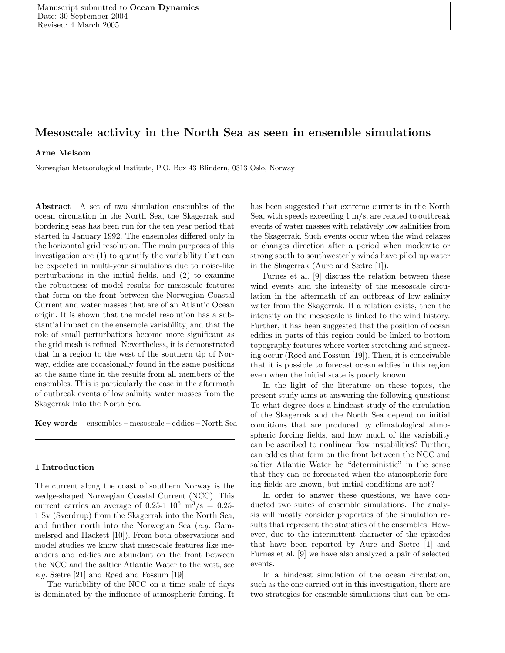# Mesoscale activity in the North Sea as seen in ensemble simulations

# Arne Melsom

Norwegian Meteorological Institute, P.O. Box 43 Blindern, 0313 Oslo, Norway

Abstract A set of two simulation ensembles of the ocean circulation in the North Sea, the Skagerrak and bordering seas has been run for the ten year period that started in January 1992. The ensembles differed only in the horizontal grid resolution. The main purposes of this investigation are (1) to quantify the variability that can be expected in multi-year simulations due to noise-like perturbations in the initial fields, and (2) to examine the robustness of model results for mesoscale features that form on the front between the Norwegian Coastal Current and water masses that are of an Atlantic Ocean origin. It is shown that the model resolution has a substantial impact on the ensemble variability, and that the role of small perturbations become more significant as the grid mesh is refined. Nevertheless, it is demonstrated that in a region to the west of the southern tip of Norway, eddies are occasionally found in the same positions at the same time in the results from all members of the ensembles. This is particularly the case in the aftermath of outbreak events of low salinity water masses from the Skagerrak into the North Sea.

Key words ensembles – mesoscale – eddies – North Sea

# 1 Introduction

The current along the coast of southern Norway is the wedge-shaped Norwegian Coastal Current (NCC). This current carries an average of  $0.25{\text -}1{\cdot}10^6$  m<sup>3</sup>/s = 0.25-1 Sv (Sverdrup) from the Skagerrak into the North Sea, and further north into the Norwegian Sea (e.g. Gammelsrød and Hackett [10]). From both observations and model studies we know that mesoscale features like meanders and eddies are abundant on the front between the NCC and the saltier Atlantic Water to the west, see e.g. Sætre [21] and Røed and Fossum [19].

The variability of the NCC on a time scale of days is dominated by the influence of atmospheric forcing. It has been suggested that extreme currents in the North Sea, with speeds exceeding 1 m/s, are related to outbreak events of water masses with relatively low salinities from the Skagerrak. Such events occur when the wind relaxes or changes direction after a period when moderate or strong south to southwesterly winds have piled up water in the Skagerrak (Aure and Sætre [1]).

Furnes et al. [9] discuss the relation between these wind events and the intensity of the mesoscale circulation in the aftermath of an outbreak of low salinity water from the Skagerrak. If a relation exists, then the intensity on the mesoscale is linked to the wind history. Further, it has been suggested that the position of ocean eddies in parts of this region could be linked to bottom topography features where vortex stretching and squeezing occur (Røed and Fossum [19]). Then, it is conceivable that it is possible to forecast ocean eddies in this region even when the initial state is poorly known.

In the light of the literature on these topics, the present study aims at answering the following questions: To what degree does a hindcast study of the circulation of the Skagerrak and the North Sea depend on initial conditions that are produced by climatological atmospheric forcing fields, and how much of the variability can be ascribed to nonlinear flow instabilities? Further, can eddies that form on the front between the NCC and saltier Atlantic Water be "deterministic" in the sense that they can be forecasted when the atmospheric forcing fields are known, but initial conditions are not?

In order to answer these questions, we have conducted two suites of ensemble simulations. The analysis will mostly consider properties of the simulation results that represent the statistics of the ensembles. However, due to the intermittent character of the episodes that have been reported by Aure and Sætre [1] and Furnes et al. [9] we have also analyzed a pair of selected events.

In a hindcast simulation of the ocean circulation, such as the one carried out in this investigation, there are two strategies for ensemble simulations that can be em-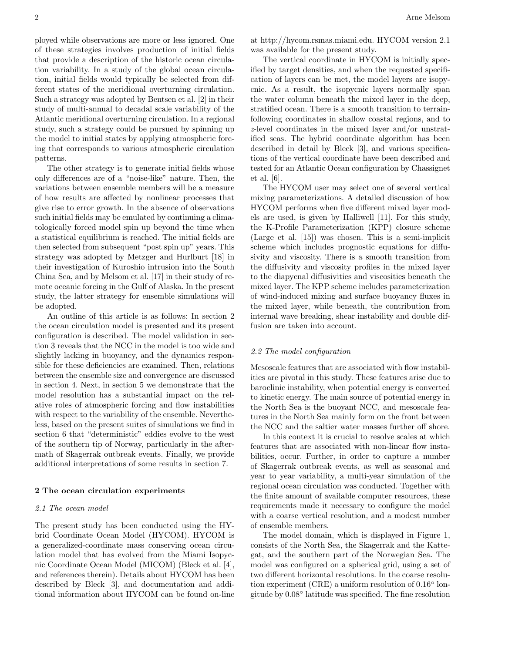ployed while observations are more or less ignored. One of these strategies involves production of initial fields that provide a description of the historic ocean circulation variability. In a study of the global ocean circulation, initial fields would typically be selected from different states of the meridional overturning circulation. Such a strategy was adopted by Bentsen et al. [2] in their study of multi-annual to decadal scale variability of the Atlantic meridional overturning circulation. In a regional study, such a strategy could be pursued by spinning up the model to initial states by applying atmospheric forcing that corresponds to various atmospheric circulation patterns.

The other strategy is to generate initial fields whose only differences are of a "noise-like" nature. Then, the variations between ensemble members will be a measure of how results are affected by nonlinear processes that give rise to error growth. In the absence of observations such initial fields may be emulated by continuing a climatologically forced model spin up beyond the time when a statistical equilibrium is reached. The initial fields are then selected from subsequent "post spin up" years. This strategy was adopted by Metzger and Hurlburt [18] in their investigation of Kuroshio intrusion into the South China Sea, and by Melsom et al. [17] in their study of remote oceanic forcing in the Gulf of Alaska. In the present study, the latter strategy for ensemble simulations will be adopted.

An outline of this article is as follows: In section 2 the ocean circulation model is presented and its present configuration is described. The model validation in section 3 reveals that the NCC in the model is too wide and slightly lacking in buoyancy, and the dynamics responsible for these deficiencies are examined. Then, relations between the ensemble size and convergence are discussed in section 4. Next, in section 5 we demonstrate that the model resolution has a substantial impact on the relative roles of atmospheric forcing and flow instabilities with respect to the variability of the ensemble. Nevertheless, based on the present suites of simulations we find in section 6 that "deterministic" eddies evolve to the west of the southern tip of Norway, particularly in the aftermath of Skagerrak outbreak events. Finally, we provide additional interpretations of some results in section 7.

#### 2 The ocean circulation experiments

# 2.1 The ocean model

The present study has been conducted using the HYbrid Coordinate Ocean Model (HYCOM). HYCOM is a generalized-coordinate mass conserving ocean circulation model that has evolved from the Miami Isopycnic Coordinate Ocean Model (MICOM) (Bleck et al. [4], and references therein). Details about HYCOM has been described by Bleck [3], and documentation and additional information about HYCOM can be found on-line at http://hycom.rsmas.miami.edu. HYCOM version 2.1 was available for the present study.

The vertical coordinate in HYCOM is initially specified by target densities, and when the requested specification of layers can be met, the model layers are isopycnic. As a result, the isopycnic layers normally span the water column beneath the mixed layer in the deep, stratified ocean. There is a smooth transition to terrainfollowing coordinates in shallow coastal regions, and to z-level coordinates in the mixed layer and/or unstratified seas. The hybrid coordinate algorithm has been described in detail by Bleck [3], and various specifications of the vertical coordinate have been described and tested for an Atlantic Ocean configuration by Chassignet et al. [6].

The HYCOM user may select one of several vertical mixing parameterizations. A detailed discussion of how HYCOM performs when five different mixed layer models are used, is given by Halliwell [11]. For this study, the K-Profile Parameterization (KPP) closure scheme (Large et al. [15]) was chosen. This is a semi-implicit scheme which includes prognostic equations for diffusivity and viscosity. There is a smooth transition from the diffusivity and viscosity profiles in the mixed layer to the diapycnal diffusivities and viscosities beneath the mixed layer. The KPP scheme includes parameterization of wind-induced mixing and surface buoyancy fluxes in the mixed layer, while beneath, the contribution from internal wave breaking, shear instability and double diffusion are taken into account.

#### 2.2 The model configuration

Mesoscale features that are associated with flow instabilities are pivotal in this study. These features arise due to baroclinic instability, when potential energy is converted to kinetic energy. The main source of potential energy in the North Sea is the buoyant NCC, and mesoscale features in the North Sea mainly form on the front between the NCC and the saltier water masses further off shore.

In this context it is crucial to resolve scales at which features that are associated with non-linear flow instabilities, occur. Further, in order to capture a number of Skagerrak outbreak events, as well as seasonal and year to year variability, a multi-year simulation of the regional ocean circulation was conducted. Together with the finite amount of available computer resources, these requirements made it necessary to configure the model with a coarse vertical resolution, and a modest number of ensemble members.

The model domain, which is displayed in Figure 1, consists of the North Sea, the Skagerrak and the Kattegat, and the southern part of the Norwegian Sea. The model was configured on a spherical grid, using a set of two different horizontal resolutions. In the coarse resolution experiment (CRE) a uniform resolution of 0.16<sup>°</sup> longitude by 0.08◦ latitude was specified. The fine resolution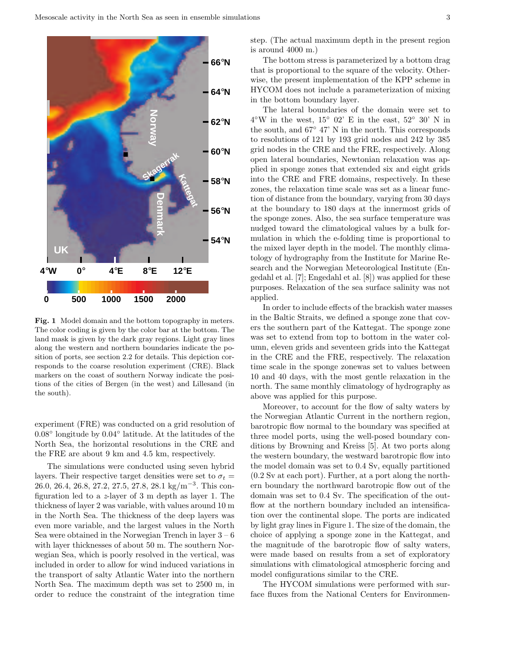

Fig. 1 Model domain and the bottom topography in meters. The color coding is given by the color bar at the bottom. The land mask is given by the dark gray regions. Light gray lines along the western and northern boundaries indicate the position of ports, see section 2.2 for details. This depiction corresponds to the coarse resolution experiment (CRE). Black markers on the coast of southern Norway indicate the positions of the cities of Bergen (in the west) and Lillesand (in the south).

experiment (FRE) was conducted on a grid resolution of 0.08◦ longitude by 0.04◦ latitude. At the latitudes of the North Sea, the horizontal resolutions in the CRE and the FRE are about 9 km and 4.5 km, respectively.

The simulations were conducted using seven hybrid layers. Their respective target densities were set to  $\sigma_t =$ 26.0, 26.4, 26.8, 27.2, 27.5, 27.8, 28.1 kg/m<sup>-3</sup>. This configuration led to a z-layer of 3 m depth as layer 1. The thickness of layer 2 was variable, with values around 10 m in the North Sea. The thickness of the deep layers was even more variable, and the largest values in the North Sea were obtained in the Norwegian Trench in layer  $3 - 6$ with layer thicknesses of about 50 m. The southern Norwegian Sea, which is poorly resolved in the vertical, was included in order to allow for wind induced variations in the transport of salty Atlantic Water into the northern North Sea. The maximum depth was set to 2500 m, in order to reduce the constraint of the integration time step. (The actual maximum depth in the present region is around 4000 m.)

The bottom stress is parameterized by a bottom drag that is proportional to the square of the velocity. Otherwise, the present implementation of the KPP scheme in HYCOM does not include a parameterization of mixing in the bottom boundary layer.

The lateral boundaries of the domain were set to  $4^{\circ}\text{W}$  in the west,  $15^{\circ}$  02' E in the east,  $52^{\circ}$  30' N in the south, and 67◦ 47' N in the north. This corresponds to resolutions of 121 by 193 grid nodes and 242 by 385 grid nodes in the CRE and the FRE, respectively. Along open lateral boundaries, Newtonian relaxation was applied in sponge zones that extended six and eight grids into the CRE and FRE domains, respectively. In these zones, the relaxation time scale was set as a linear function of distance from the boundary, varying from 30 days at the boundary to 180 days at the innermost grids of the sponge zones. Also, the sea surface temperature was nudged toward the climatological values by a bulk formulation in which the e-folding time is proportional to the mixed layer depth in the model. The monthly climatology of hydrography from the Institute for Marine Research and the Norwegian Meteorological Institute (Engedahl et al. [7]; Engedahl et al. [8]) was applied for these purposes. Relaxation of the sea surface salinity was not applied.

In order to include effects of the brackish water masses in the Baltic Straits, we defined a sponge zone that covers the southern part of the Kattegat. The sponge zone was set to extend from top to bottom in the water column, eleven grids and seventeen grids into the Kattegat in the CRE and the FRE, respectively. The relaxation time scale in the sponge zonewas set to values between 10 and 40 days, with the most gentle relaxation in the north. The same monthly climatology of hydrography as above was applied for this purpose.

Moreover, to account for the flow of salty waters by the Norwegian Atlantic Current in the northern region, barotropic flow normal to the boundary was specified at three model ports, using the well-posed boundary conditions by Browning and Kreiss [5]. At two ports along the western boundary, the westward barotropic flow into the model domain was set to 0.4 Sv, equally partitioned (0.2 Sv at each port). Further, at a port along the northern boundary the northward barotropic flow out of the domain was set to 0.4 Sv. The specification of the outflow at the northern boundary included an intensification over the continental slope. The ports are indicated by light gray lines in Figure 1. The size of the domain, the choice of applying a sponge zone in the Kattegat, and the magnitude of the barotropic flow of salty waters, were made based on results from a set of exploratory simulations with climatological atmospheric forcing and model configurations similar to the CRE.

The HYCOM simulations were performed with surface fluxes from the National Centers for Environmen-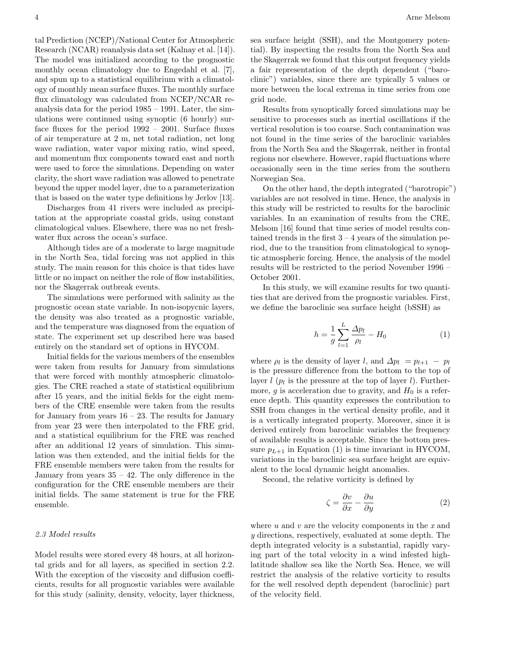tal Prediction (NCEP)/National Center for Atmospheric Research (NCAR) reanalysis data set (Kalnay et al. [14]). The model was initialized according to the prognostic monthly ocean climatology due to Engedahl et al. [7], and spun up to a statistical equilibrium with a climatology of monthly mean surface fluxes. The monthly surface flux climatology was calculated from NCEP/NCAR reanalysis data for the period 1985 – 1991. Later, the simulations were continued using synoptic (6 hourly) surface fluxes for the period 1992 – 2001. Surface fluxes of air temperature at 2 m, net total radiation, net long wave radiation, water vapor mixing ratio, wind speed, and momentum flux components toward east and north were used to force the simulations. Depending on water clarity, the short wave radiation was allowed to penetrate beyond the upper model layer, due to a parameterization that is based on the water type definitions by Jerlov [13].

Discharges from 41 rivers were included as precipitation at the appropriate coastal grids, using constant climatological values. Elsewhere, there was no net freshwater flux across the ocean's surface.

Although tides are of a moderate to large magnitude in the North Sea, tidal forcing was not applied in this study. The main reason for this choice is that tides have little or no impact on neither the role of flow instabilities, nor the Skagerrak outbreak events.

The simulations were performed with salinity as the prognostic ocean state variable. In non-isopycnic layers, the density was also treated as a prognostic variable, and the temperature was diagnosed from the equation of state. The experiment set up described here was based entirely on the standard set of options in HYCOM.

Initial fields for the various members of the ensembles were taken from results for January from simulations that were forced with monthly atmospheric climatologies. The CRE reached a state of statistical equilibrium after 15 years, and the initial fields for the eight members of the CRE ensemble were taken from the results for January from years  $16 - 23$ . The results for January from year 23 were then interpolated to the FRE grid, and a statistical equilibrium for the FRE was reached after an additional 12 years of simulation. This simulation was then extended, and the initial fields for the FRE ensemble members were taken from the results for January from years  $35 - 42$ . The only difference in the configuration for the CRE ensemble members are their initial fields. The same statement is true for the FRE ensemble.

# 2.3 Model results

Model results were stored every 48 hours, at all horizontal grids and for all layers, as specified in section 2.2. With the exception of the viscosity and diffusion coefficients, results for all prognostic variables were available for this study (salinity, density, velocity, layer thickness, sea surface height (SSH), and the Montgomery potential). By inspecting the results from the North Sea and the Skagerrak we found that this output frequency yields a fair representation of the depth dependent ("baroclinic") variables, since there are typically 5 values or more between the local extrema in time series from one grid node.

Results from synoptically forced simulations may be sensitive to processes such as inertial oscillations if the vertical resolution is too coarse. Such contamination was not found in the time series of the baroclinic variables from the North Sea and the Skagerrak, neither in frontal regions nor elsewhere. However, rapid fluctuations where occasionally seen in the time series from the southern Norwegian Sea.

On the other hand, the depth integrated ("barotropic") variables are not resolved in time. Hence, the analysis in this study will be restricted to results for the baroclinic variables. In an examination of results from the CRE, Melsom [16] found that time series of model results contained trends in the first  $3 - 4$  years of the simulation period, due to the transition from climatological to synoptic atmospheric forcing. Hence, the analysis of the model results will be restricted to the period November 1996 – October 2001.

In this study, we will examine results for two quantities that are derived from the prognostic variables. First, we define the baroclinic sea surface height (bSSH) as

$$
h = \frac{1}{g} \sum_{l=1}^{L} \frac{\Delta p_l}{\rho_l} - H_0 \tag{1}
$$

where  $\rho_l$  is the density of layer l, and  $\Delta p_l = p_{l+1} - p_l$ is the pressure difference from the bottom to the top of layer  $l$  ( $p_l$  is the pressure at the top of layer  $l$ ). Furthermore, g is acceleration due to gravity, and  $H_0$  is a reference depth. This quantity expresses the contribution to SSH from changes in the vertical density profile, and it is a vertically integrated property. Moreover, since it is derived entirely from baroclinic variables the frequency of available results is acceptable. Since the bottom pressure  $p_{L+1}$  in Equation (1) is time invariant in HYCOM, variations in the baroclinic sea surface height are equivalent to the local dynamic height anomalies.

Second, the relative vorticity is defined by

$$
\zeta = \frac{\partial v}{\partial x} - \frac{\partial u}{\partial y} \tag{2}
$$

where  $u$  and  $v$  are the velocity components in the  $x$  and y directions, respectively, evaluated at some depth. The depth integrated velocity is a substantial, rapidly varying part of the total velocity in a wind infested highlatitude shallow sea like the North Sea. Hence, we will restrict the analysis of the relative vorticity to results for the well resolved depth dependent (baroclinic) part of the velocity field.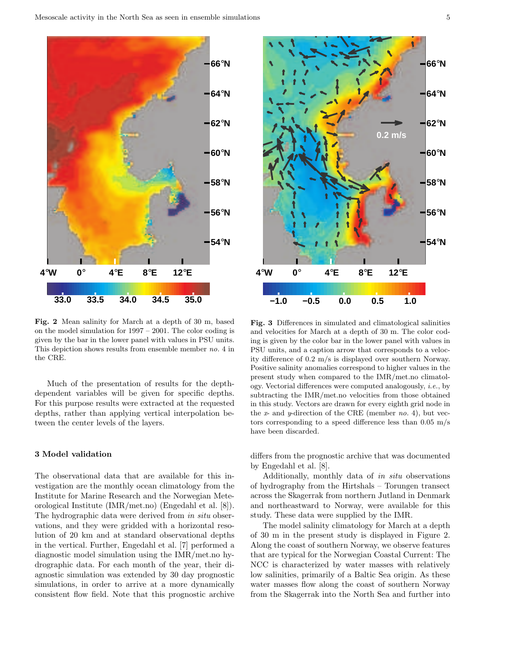

Fig. 2 Mean salinity for March at a depth of 30 m, based on the model simulation for 1997 – 2001. The color coding is given by the bar in the lower panel with values in PSU units. This depiction shows results from ensemble member no. 4 in the CRE.

Much of the presentation of results for the depthdependent variables will be given for specific depths. For this purpose results were extracted at the requested depths, rather than applying vertical interpolation between the center levels of the layers.

### 3 Model validation

The observational data that are available for this investigation are the monthly ocean climatology from the Institute for Marine Research and the Norwegian Meteorological Institute (IMR/met.no) (Engedahl et al. [8]). The hydrographic data were derived from in situ observations, and they were gridded with a horizontal resolution of 20 km and at standard observational depths in the vertical. Further, Engedahl et al. [7] performed a diagnostic model simulation using the IMR/met.no hydrographic data. For each month of the year, their diagnostic simulation was extended by 30 day prognostic simulations, in order to arrive at a more dynamically consistent flow field. Note that this prognostic archive



Fig. 3 Differences in simulated and climatological salinities and velocities for March at a depth of 30 m. The color coding is given by the color bar in the lower panel with values in PSU units, and a caption arrow that corresponds to a velocity difference of 0.2 m/s is displayed over southern Norway. Positive salinity anomalies correspond to higher values in the present study when compared to the IMR/met.no climatology. Vectorial differences were computed analogously, i.e., by subtracting the IMR/met.no velocities from those obtained in this study. Vectors are drawn for every eighth grid node in the  $x$ - and  $y$ -direction of the CRE (member no. 4), but vectors corresponding to a speed difference less than 0.05 m/s have been discarded.

differs from the prognostic archive that was documented by Engedahl et al. [8].

Additionally, monthly data of in situ observations of hydrography from the Hirtshals – Torungen transect across the Skagerrak from northern Jutland in Denmark and northeastward to Norway, were available for this study. These data were supplied by the IMR.

The model salinity climatology for March at a depth of 30 m in the present study is displayed in Figure 2. Along the coast of southern Norway, we observe features that are typical for the Norwegian Coastal Current: The NCC is characterized by water masses with relatively low salinities, primarily of a Baltic Sea origin. As these water masses flow along the coast of southern Norway from the Skagerrak into the North Sea and further into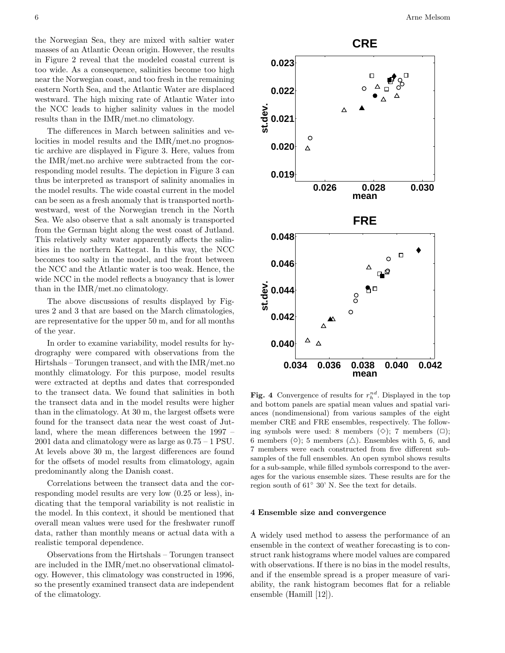the Norwegian Sea, they are mixed with saltier water masses of an Atlantic Ocean origin. However, the results in Figure 2 reveal that the modeled coastal current is too wide. As a consequence, salinities become too high near the Norwegian coast, and too fresh in the remaining eastern North Sea, and the Atlantic Water are displaced westward. The high mixing rate of Atlantic Water into the NCC leads to higher salinity values in the model results than in the IMR/met.no climatology.

The differences in March between salinities and velocities in model results and the IMR/met.no prognostic archive are displayed in Figure 3. Here, values from the IMR/met.no archive were subtracted from the corresponding model results. The depiction in Figure 3 can thus be interpreted as transport of salinity anomalies in the model results. The wide coastal current in the model can be seen as a fresh anomaly that is transported northwestward, west of the Norwegian trench in the North Sea. We also observe that a salt anomaly is transported from the German bight along the west coast of Jutland. This relatively salty water apparently affects the salinities in the northern Kattegat. In this way, the NCC becomes too salty in the model, and the front between the NCC and the Atlantic water is too weak. Hence, the wide NCC in the model reflects a buoyancy that is lower than in the IMR/met.no climatology.

The above discussions of results displayed by Figures 2 and 3 that are based on the March climatologies, are representative for the upper 50 m, and for all months of the year.

In order to examine variability, model results for hydrography were compared with observations from the Hirtshals – Torungen transect, and with the IMR/met.no monthly climatology. For this purpose, model results were extracted at depths and dates that corresponded to the transect data. We found that salinities in both the transect data and in the model results were higher than in the climatology. At 30 m, the largest offsets were found for the transect data near the west coast of Jutland, where the mean differences between the 1997 – 2001 data and climatology were as large as 0.75 – 1 PSU. At levels above 30 m, the largest differences are found for the offsets of model results from climatology, again predominantly along the Danish coast.

Correlations between the transect data and the corresponding model results are very low (0.25 or less), indicating that the temporal variability is not realistic in the model. In this context, it should be mentioned that overall mean values were used for the freshwater runoff data, rather than monthly means or actual data with a realistic temporal dependence.

Observations from the Hirtshals – Torungen transect are included in the IMR/met.no observational climatology. However, this climatology was constructed in 1996, so the presently examined transect data are independent of the climatology.



Fig. 4 Convergence of results for  $r_h^{nd}$ . Displayed in the top and bottom panels are spatial mean values and spatial variances (nondimensional) from various samples of the eight member CRE and FRE ensembles, respectively. The following symbols were used: 8 members  $(\Diamond); 7$  members  $(\Box);$ 6 members ( $\circ$ ); 5 members ( $\triangle$ ). Ensembles with 5, 6, and 7 members were each constructed from five different subsamples of the full ensembles. An open symbol shows results for a sub-sample, while filled symbols correspond to the averages for the various ensemble sizes. These results are for the region south of 61◦ 30' N. See the text for details.

#### 4 Ensemble size and convergence

A widely used method to assess the performance of an ensemble in the context of weather forecasting is to construct rank histograms where model values are compared with observations. If there is no bias in the model results, and if the ensemble spread is a proper measure of variability, the rank histogram becomes flat for a reliable ensemble (Hamill [12]).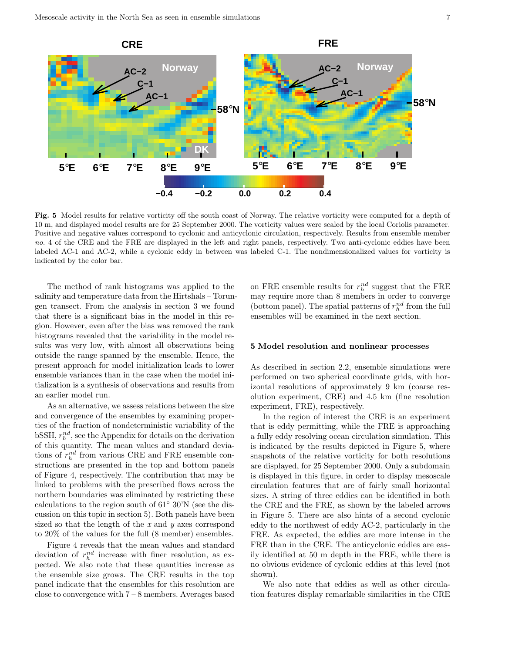

Fig. 5 Model results for relative vorticity off the south coast of Norway. The relative vorticity were computed for a depth of 10 m, and displayed model results are for 25 September 2000. The vorticity values were scaled by the local Coriolis parameter. Positive and negative values correspond to cyclonic and anticyclonic circulation, respectively. Results from ensemble member no. 4 of the CRE and the FRE are displayed in the left and right panels, respectively. Two anti-cyclonic eddies have been labeled AC-1 and AC-2, while a cyclonic eddy in between was labeled C-1. The nondimensionalized values for vorticity is indicated by the color bar.

The method of rank histograms was applied to the salinity and temperature data from the Hirtshals – Torungen transect. From the analysis in section 3 we found that there is a significant bias in the model in this region. However, even after the bias was removed the rank histograms revealed that the variability in the model results was very low, with almost all observations being outside the range spanned by the ensemble. Hence, the present approach for model initialization leads to lower ensemble variances than in the case when the model initialization is a synthesis of observations and results from an earlier model run.

As an alternative, we assess relations between the size and convergence of the ensembles by examining properties of the fraction of nondeterministic variability of the  $bSSH, r_h^{nd}$ , see the Appendix for details on the derivation of this quantity. The mean values and standard deviations of  $r_h^{nd}$  from various CRE and FRE ensemble constructions are presented in the top and bottom panels of Figure 4, respectively. The contribution that may be linked to problems with the prescribed flows across the northern boundaries was eliminated by restricting these calculations to the region south of 61◦ 30'N (see the discussion on this topic in section 5). Both panels have been sized so that the length of the  $x$  and  $y$  axes correspond to 20% of the values for the full (8 member) ensembles.

Figure 4 reveals that the mean values and standard deviation of  $r_h^{nd}$  increase with finer resolution, as expected. We also note that these quantities increase as the ensemble size grows. The CRE results in the top panel indicate that the ensembles for this resolution are close to convergence with 7 – 8 members. Averages based

on FRE ensemble results for  $r_h^{nd}$  suggest that the FRE may require more than 8 members in order to converge (bottom panel). The spatial patterns of  $r_h^{nd}$  from the full ensembles will be examined in the next section.

#### 5 Model resolution and nonlinear processes

As described in section 2.2, ensemble simulations were performed on two spherical coordinate grids, with horizontal resolutions of approximately 9 km (coarse resolution experiment, CRE) and 4.5 km (fine resolution experiment, FRE), respectively.

In the region of interest the CRE is an experiment that is eddy permitting, while the FRE is approaching a fully eddy resolving ocean circulation simulation. This is indicated by the results depicted in Figure 5, where snapshots of the relative vorticity for both resolutions are displayed, for 25 September 2000. Only a subdomain is displayed in this figure, in order to display mesoscale circulation features that are of fairly small horizontal sizes. A string of three eddies can be identified in both the CRE and the FRE, as shown by the labeled arrows in Figure 5. There are also hints of a second cyclonic eddy to the northwest of eddy AC-2, particularly in the FRE. As expected, the eddies are more intense in the FRE than in the CRE. The anticyclonic eddies are easily identified at 50 m depth in the FRE, while there is no obvious evidence of cyclonic eddies at this level (not shown).

We also note that eddies as well as other circulation features display remarkable similarities in the CRE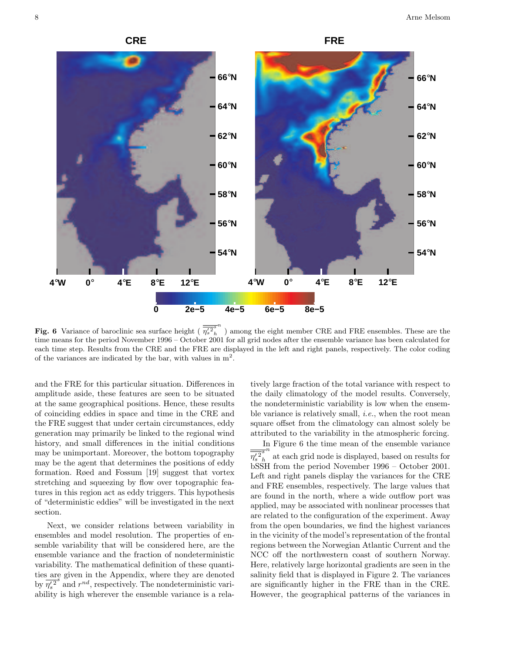





**Fig. 6** Variance of baroclinic sea surface height ( $\overline{\eta_s^{2s}}_h$ h  $\strut^n$  ) among the eight member CRE and FRE ensembles. These are the time means for the period November 1996 – October 2001 for all grid nodes after the ensemble variance has been calculated for each time step. Results from the CRE and the FRE are displayed in the left and right panels, respectively. The color coding of the variances are indicated by the bar, with values in  $m^2$ .

and the FRE for this particular situation. Differences in amplitude aside, these features are seen to be situated at the same geographical positions. Hence, these results of coinciding eddies in space and time in the CRE and the FRE suggest that under certain circumstances, eddy generation may primarily be linked to the regional wind history, and small differences in the initial conditions may be unimportant. Moreover, the bottom topography may be the agent that determines the positions of eddy formation. Røed and Fossum [19] suggest that vortex stretching and squeezing by flow over topographic features in this region act as eddy triggers. This hypothesis of "deterministic eddies" will be investigated in the next section.

Next, we consider relations between variability in ensembles and model resolution. The properties of ensemble variability that will be considered here, are the ensemble variance and the fraction of nondeterministic variability. The mathematical definition of these quantities are given in the Appendix, where they are denoted by  $\overline{\eta_s^2}^s$  and  $r^{nd}$ , respectively. The nondeterministic variability is high wherever the ensemble variance is a relatively large fraction of the total variance with respect to the daily climatology of the model results. Conversely, the nondeterministic variability is low when the ensemble variance is relatively small, *i.e.*, when the root mean square offset from the climatology can almost solely be attributed to the variability in the atmospheric forcing.

In Figure 6 the time mean of the ensemble variance  $\overline{\eta_s'{}^2}_h^s$ h  $\frac{n}{n}$  at each grid node is displayed, based on results for bSSH from the period November 1996 – October 2001. Left and right panels display the variances for the CRE and FRE ensembles, respectively. The large values that are found in the north, where a wide outflow port was applied, may be associated with nonlinear processes that are related to the configuration of the experiment. Away from the open boundaries, we find the highest variances in the vicinity of the model's representation of the frontal regions between the Norwegian Atlantic Current and the NCC off the northwestern coast of southern Norway. Here, relatively large horizontal gradients are seen in the salinity field that is displayed in Figure 2. The variances are significantly higher in the FRE than in the CRE. However, the geographical patterns of the variances in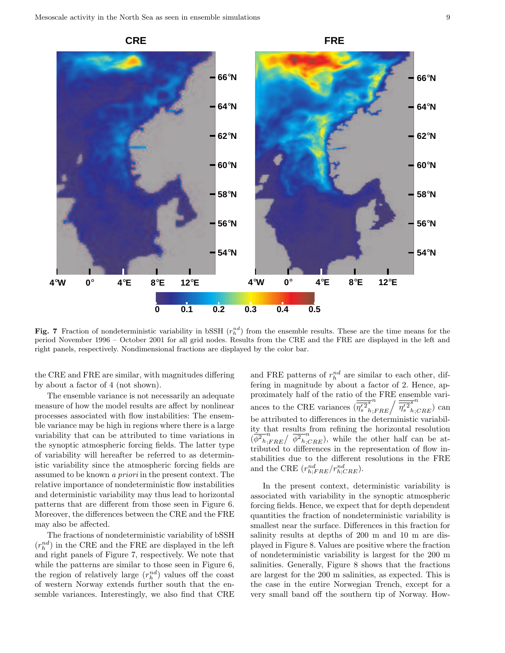

Fig. 7 Fraction of nondeterministic variability in bSSH  $(r_h^{nd})$  from the ensemble results. These are the time means for the period November 1996 – October 2001 for all grid nodes. Results from the CRE and the FRE are displayed in the left and right panels, respectively. Nondimensional fractions are displayed by the color bar.

the CRE and FRE are similar, with magnitudes differing by about a factor of 4 (not shown).

The ensemble variance is not necessarily an adequate measure of how the model results are affect by nonlinear processes associated with flow instabilities: The ensemble variance may be high in regions where there is a large variability that can be attributed to time variations in the synoptic atmospheric forcing fields. The latter type of variability will hereafter be referred to as deterministic variability since the atmospheric forcing fields are assumed to be known a priori in the present context. The relative importance of nondeterministic flow instabilities and deterministic variability may thus lead to horizontal patterns that are different from those seen in Figure 6. Moreover, the differences between the CRE and the FRE may also be affected.

The fractions of nondeterministic variability of bSSH  $(r_{h}^{nd})$  in the CRE and the FRE are displayed in the left and right panels of Figure 7, respectively. We note that while the patterns are similar to those seen in Figure 6, the region of relatively large  $(r_h^{nd})$  values off the coast of western Norway extends further south that the ensemble variances. Interestingly, we also find that CRE

and FRE patterns of  $r_h^{nd}$  are similar to each other, differing in magnitude by about a factor of 2. Hence, approximately half of the ratio of the FRE ensemble variances to the CRE variances  $(\overline{\eta_s^2}_h^2)$ h n  $\frac{n}{\eta_s^{r} R E} \bigg/ \overline{\eta_s^{\prime 2}}_h^s$ h n  $_{;CRE}$ ) can be attributed to differences in the deterministic variability that results from refining the horizontal resolution  $(\phi^2_{h, FRE} / \phi^2_{h, CRE}^{\mu})$ , while the other half can be attributed to differences in the representation of flow instabilities due to the different resolutions in the FRE and the CRE  $(r_{h;FRE}^{nd}/r_{h;CRE}^{nd})$ .

In the present context, deterministic variability is associated with variability in the synoptic atmospheric forcing fields. Hence, we expect that for depth dependent quantities the fraction of nondeterministic variability is smallest near the surface. Differences in this fraction for salinity results at depths of 200 m and 10 m are displayed in Figure 8. Values are positive where the fraction of nondeterministic variability is largest for the 200 m salinities. Generally, Figure 8 shows that the fractions are largest for the 200 m salinities, as expected. This is the case in the entire Norwegian Trench, except for a very small band off the southern tip of Norway. How-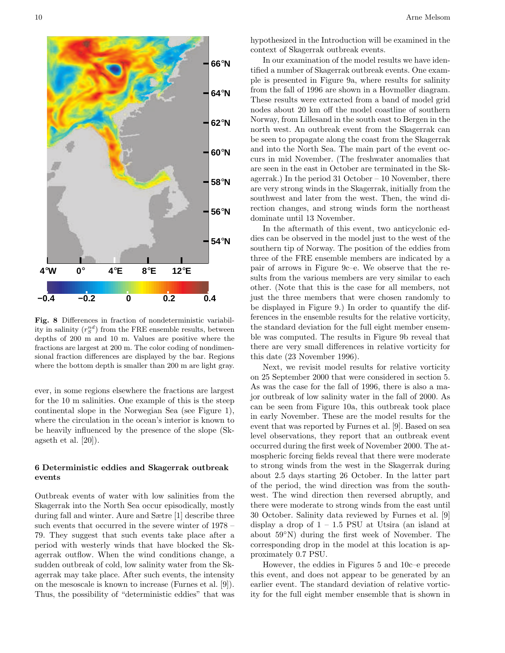

Fig. 8 Differences in fraction of nondeterministic variability in salinity  $(r_S^{nd})$  from the FRE ensemble results, between depths of 200 m and 10 m. Values are positive where the fractions are largest at 200 m. The color coding of nondimensional fraction differences are displayed by the bar. Regions where the bottom depth is smaller than 200 m are light gray.

ever, in some regions elsewhere the fractions are largest for the 10 m salinities. One example of this is the steep continental slope in the Norwegian Sea (see Figure 1), where the circulation in the ocean's interior is known to be heavily influenced by the presence of the slope (Skagseth et al. [20]).

# 6 Deterministic eddies and Skagerrak outbreak events

Outbreak events of water with low salinities from the Skagerrak into the North Sea occur episodically, mostly during fall and winter. Aure and Sætre [1] describe three such events that occurred in the severe winter of 1978 – 79. They suggest that such events take place after a period with westerly winds that have blocked the Skagerrak outflow. When the wind conditions change, a sudden outbreak of cold, low salinity water from the Skagerrak may take place. After such events, the intensity on the mesoscale is known to increase (Furnes et al. [9]). Thus, the possibility of "deterministic eddies" that was hypothesized in the Introduction will be examined in the context of Skagerrak outbreak events.

In our examination of the model results we have identified a number of Skagerrak outbreak events. One example is presented in Figure 9a, where results for salinity from the fall of 1996 are shown in a Hovmøller diagram. These results were extracted from a band of model grid nodes about 20 km off the model coastline of southern Norway, from Lillesand in the south east to Bergen in the north west. An outbreak event from the Skagerrak can be seen to propagate along the coast from the Skagerrak and into the North Sea. The main part of the event occurs in mid November. (The freshwater anomalies that are seen in the east in October are terminated in the Skagerrak.) In the period 31 October – 10 November, there are very strong winds in the Skagerrak, initially from the southwest and later from the west. Then, the wind direction changes, and strong winds form the northeast dominate until 13 November.

In the aftermath of this event, two anticyclonic eddies can be observed in the model just to the west of the southern tip of Norway. The position of the eddies from three of the FRE ensemble members are indicated by a pair of arrows in Figure 9c–e. We observe that the results from the various members are very similar to each other. (Note that this is the case for all members, not just the three members that were chosen randomly to be displayed in Figure 9.) In order to quantify the differences in the ensemble results for the relative vorticity, the standard deviation for the full eight member ensemble was computed. The results in Figure 9b reveal that there are very small differences in relative vorticity for this date (23 November 1996).

Next, we revisit model results for relative vorticity on 25 September 2000 that were considered in section 5. As was the case for the fall of 1996, there is also a major outbreak of low salinity water in the fall of 2000. As can be seen from Figure 10a, this outbreak took place in early November. These are the model results for the event that was reported by Furnes et al. [9]. Based on sea level observations, they report that an outbreak event occurred during the first week of November 2000. The atmospheric forcing fields reveal that there were moderate to strong winds from the west in the Skagerrak during about 2.5 days starting 26 October. In the latter part of the period, the wind direction was from the southwest. The wind direction then reversed abruptly, and there were moderate to strong winds from the east until 30 October. Salinity data reviewed by Furnes et al. [9] display a drop of  $1 - 1.5$  PSU at Utsira (an island at about 59◦N) during the first week of November. The corresponding drop in the model at this location is approximately 0.7 PSU.

However, the eddies in Figures 5 and 10c–e precede this event, and does not appear to be generated by an earlier event. The standard deviation of relative vorticity for the full eight member ensemble that is shown in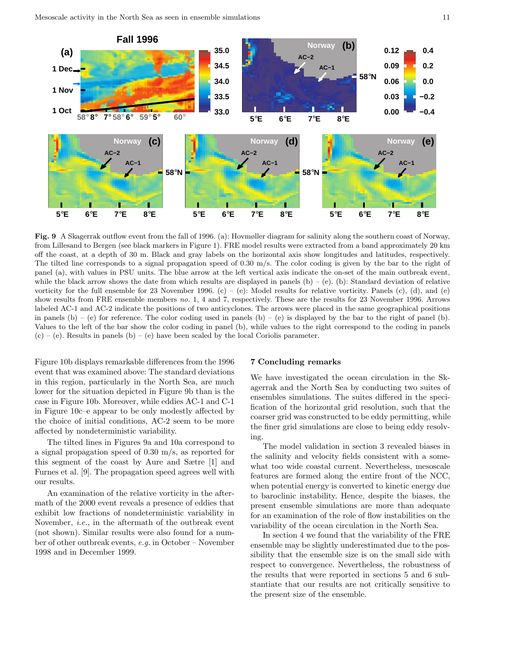

Fig. 9 A Skagerrak outflow event from the fall of 1996. (a): Hovmøller diagram for salinity along the southern coast of Norway, from Lillesand to Bergen (see black markers in Figure 1). FRE model results were extracted from a band approximately 20 km off the coast, at a depth of 30 m. Black and gray labels on the horizontal axis show longitudes and latitudes, respectively. The tilted line corresponds to a signal propagation speed of 0.30 m/s. The color coding is given by the bar to the right of panel (a), with values in PSU units. The blue arrow at the left vertical axis indicate the on-set of the main outbreak event, while the black arrow shows the date from which results are displayed in panels  $(b) - (e)$ . (b): Standard deviation of relative vorticity for the full ensemble for 23 November 1996. (c) – (e): Model results for relative vorticity. Panels (c), (d), and (e) show results from FRE ensemble members no. 1, 4 and 7, respectively. These are the results for 23 November 1996. Arrows labeled AC-1 and AC-2 indicate the positions of two anticyclones. The arrows were placed in the same geographical positions in panels  $(b) - (e)$  for reference. The color coding used in panels  $(b) - (e)$  is displayed by the bar to the right of panel  $(b)$ . Values to the left of the bar show the color coding in panel (b), while values to the right correspond to the coding in panels  $(c) - (e)$ . Results in panels  $(b) - (e)$  have been scaled by the local Coriolis parameter.

Figure 10b displays remarkable differences from the 1996 event that was examined above: The standard deviations in this region, particularly in the North Sea, are much lower for the situation depicted in Figure 9b than is the case in Figure 10b. Moreover, while eddies AC-1 and C-1 in Figure 10c–e appear to be only modestly affected by the choice of initial conditions, AC-2 seem to be more affected by nondeterministic variability.

The tilted lines in Figures 9a and 10a correspond to a signal propagation speed of 0.30 m/s, as reported for this segment of the coast by Aure and Sætre [1] and Furnes et al. [9]. The propagation speed agrees well with our results.

An examination of the relative vorticity in the aftermath of the 2000 event reveals a presence of eddies that exhibit low fractions of nondeterministic variability in November, i.e., in the aftermath of the outbreak event (not shown). Similar results were also found for a number of other outbreak events, e.g. in October – November 1998 and in December 1999.

#### 7 Concluding remarks

We have investigated the ocean circulation in the Skagerrak and the North Sea by conducting two suites of ensembles simulations. The suites differed in the specification of the horizontal grid resolution, such that the coarser grid was constructed to be eddy permitting, while the finer grid simulations are close to being eddy resolving.

The model validation in section 3 revealed biases in the salinity and velocity fields consistent with a somewhat too wide coastal current. Nevertheless, mesoscale features are formed along the entire front of the NCC, when potential energy is converted to kinetic energy due to baroclinic instability. Hence, despite the biases, the present ensemble simulations are more than adequate for an examination of the role of flow instabilities on the variability of the ocean circulation in the North Sea.

In section 4 we found that the variability of the FRE ensemble may be slightly underestimated due to the possibility that the ensemble size is on the small side with respect to convergence. Nevertheless, the robustness of the results that were reported in sections 5 and 6 substantiate that our results are not critically sensitive to the present size of the ensemble.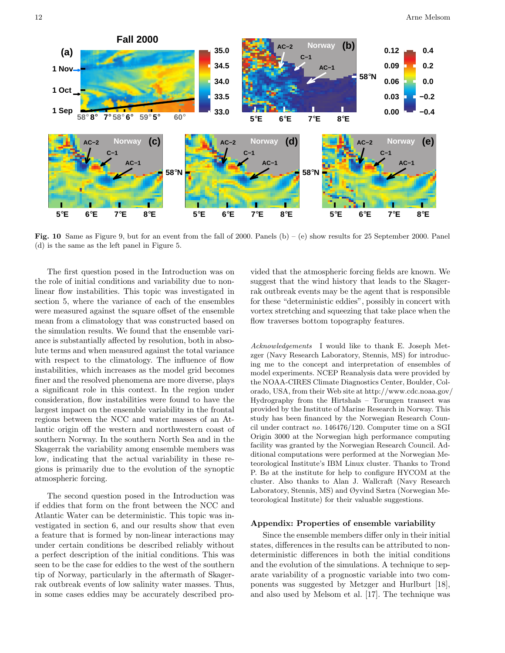

Fig. 10 Same as Figure 9, but for an event from the fall of 2000. Panels (b) – (e) show results for 25 September 2000. Panel (d) is the same as the left panel in Figure 5.

The first question posed in the Introduction was on the role of initial conditions and variability due to nonlinear flow instabilities. This topic was investigated in section 5, where the variance of each of the ensembles were measured against the square offset of the ensemble mean from a climatology that was constructed based on the simulation results. We found that the ensemble variance is substantially affected by resolution, both in absolute terms and when measured against the total variance with respect to the climatology. The influence of flow instabilities, which increases as the model grid becomes finer and the resolved phenomena are more diverse, plays a significant role in this context. In the region under consideration, flow instabilities were found to have the largest impact on the ensemble variability in the frontal regions between the NCC and water masses of an Atlantic origin off the western and northwestern coast of southern Norway. In the southern North Sea and in the Skagerrak the variability among ensemble members was low, indicating that the actual variability in these regions is primarily due to the evolution of the synoptic atmospheric forcing.

The second question posed in the Introduction was if eddies that form on the front between the NCC and Atlantic Water can be deterministic. This topic was investigated in section 6, and our results show that even a feature that is formed by non-linear interactions may under certain conditions be described reliably without a perfect description of the initial conditions. This was seen to be the case for eddies to the west of the southern tip of Norway, particularly in the aftermath of Skagerrak outbreak events of low salinity water masses. Thus, in some cases eddies may be accurately described provided that the atmospheric forcing fields are known. We suggest that the wind history that leads to the Skagerrak outbreak events may be the agent that is responsible for these "deterministic eddies", possibly in concert with vortex stretching and squeezing that take place when the flow traverses bottom topography features.

Acknowledgements I would like to thank E. Joseph Metzger (Navy Research Laboratory, Stennis, MS) for introducing me to the concept and interpretation of ensembles of model experiments. NCEP Reanalysis data were provided by the NOAA-CIRES Climate Diagnostics Center, Boulder, Colorado, USA, from their Web site at http://www.cdc.noaa.gov/ Hydrography from the Hirtshals – Torungen transect was provided by the Institute of Marine Research in Norway. This study has been financed by the Norwegian Research Council under contract no. 146476/120. Computer time on a SGI Origin 3000 at the Norwegian high performance computing facility was granted by the Norwegian Research Council. Additional computations were performed at the Norwegian Meteorological Institute's IBM Linux cluster. Thanks to Trond P. Bø at the institute for help to configure HYCOM at the cluster. Also thanks to Alan J. Wallcraft (Navy Research Laboratory, Stennis, MS) and Øyvind Sætra (Norwegian Meteorological Institute) for their valuable suggestions.

### Appendix: Properties of ensemble variability

Since the ensemble members differ only in their initial states, differences in the results can be attributed to nondeterministic differences in both the initial conditions and the evolution of the simulations. A technique to separate variability of a prognostic variable into two components was suggested by Metzger and Hurlburt [18], and also used by Melsom et al. [17]. The technique was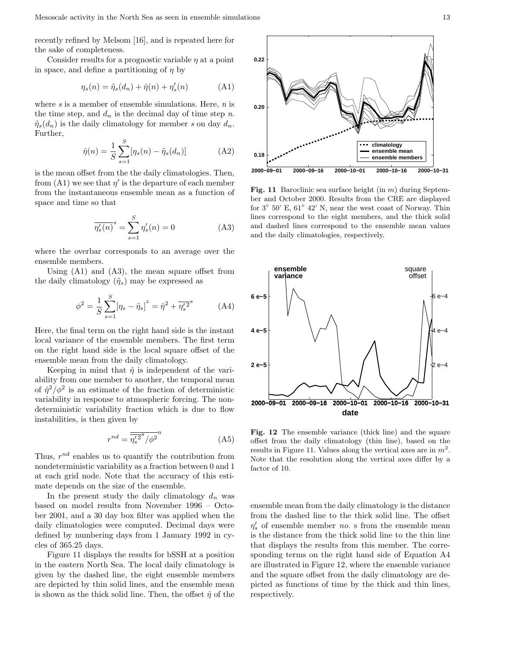recently refined by Melsom [16], and is repeated here for the sake of completeness.

Consider results for a prognostic variable  $\eta$  at a point in space, and define a partitioning of  $\eta$  by

$$
\eta_s(n) = \tilde{\eta}_s(d_n) + \hat{\eta}(n) + \eta'_s(n) \tag{A1}
$$

where  $s$  is a member of ensemble simulations. Here,  $n$  is the time step, and  $d_n$  is the decimal day of time step n.  $\tilde{\eta}_s(d_n)$  is the daily climatology for member s on day  $d_n$ . Further,

$$
\hat{\eta}(n) = \frac{1}{S} \sum_{s=1}^{S} [\eta_s(n) - \tilde{\eta}_s(d_n)]
$$
 (A2)

is the mean offset from the the daily climatologies. Then, from  $(A1)$  we see that  $\eta'$  is the departure of each member from the instantaneous ensemble mean as a function of space and time so that

$$
\overline{\eta_s'(n)}^s = \sum_{s=1}^S \eta_s'(n) = 0 \tag{A3}
$$

where the overbar corresponds to an average over the ensemble members.

Using (A1) and (A3), the mean square offset from the daily climatology  $(\tilde{\eta}_s)$  may be expressed as

$$
\phi^2 = \frac{1}{S} \sum_{s=1}^{S} [\eta_s - \tilde{\eta}_s]^2 = \hat{\eta}^2 + \overline{\eta_s'^2}^s \tag{A4}
$$

Here, the final term on the right hand side is the instant local variance of the ensemble members. The first term on the right hand side is the local square offset of the ensemble mean from the daily climatology.

Keeping in mind that  $\hat{\eta}$  is independent of the variability from one member to another, the temporal mean of  $\hat{\eta}^2/\phi^2$  is an estimate of the fraction of deterministic variability in response to atmospheric forcing. The nondeterministic variability fraction which is due to flow instabilities, is then given by

$$
r^{nd} = \overline{\overline{\eta_s'}^2}^* / \overline{\phi^2}^n \tag{A5}
$$

Thus,  $r^{nd}$  enables us to quantify the contribution from nondeterministic variability as a fraction between 0 and 1 at each grid node. Note that the accuracy of this estimate depends on the size of the ensemble.

In the present study the daily climatology  $d_n$  was based on model results from November 1996 – October 2001, and a 30 day box filter was applied when the daily climatologies were computed. Decimal days were defined by numbering days from 1 January 1992 in cycles of 365.25 days.

Figure 11 displays the results for bSSH at a position in the eastern North Sea. The local daily climatology is given by the dashed line, the eight ensemble members are depicted by thin solid lines, and the ensemble mean is shown as the thick solid line. Then, the offset  $\hat{\eta}$  of the



Fig. 11 Baroclinic sea surface height (in  $m$ ) during September and October 2000. Results from the CRE are displayed for  $3^{\circ}$  50' E,  $61^{\circ}$  42' N, near the west coast of Norway. Thin lines correspond to the eight members, and the thick solid and dashed lines correspond to the ensemble mean values and the daily climatologies, respectively.



Fig. 12 The ensemble variance (thick line) and the square offset from the daily climatology (thin line), based on the results in Figure 11. Values along the vertical axes are in  $m^2$ . Note that the resolution along the vertical axes differ by a factor of 10.

ensemble mean from the daily climatology is the distance from the dashed line to the thick solid line. The offset  $\eta_s'$  of ensemble member *no.* s from the ensemble mean is the distance from the thick solid line to the thin line that displays the results from this member. The corresponding terms on the right hand side of Equation A4 are illustrated in Figure 12, where the ensemble variance and the square offset from the daily climatology are depicted as functions of time by the thick and thin lines, respectively.